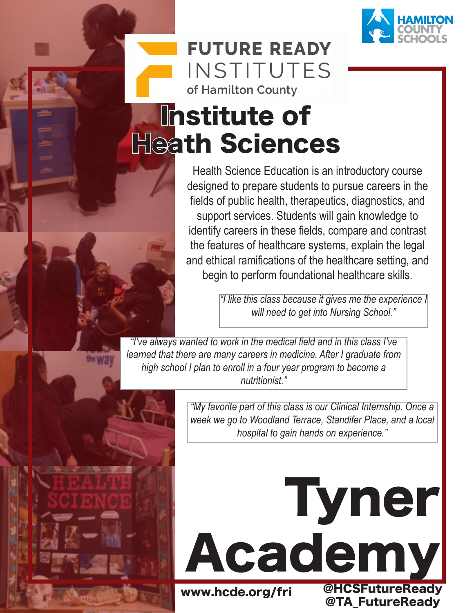

## **FUTURE READY** INSTITUTES of Hamilton County

# Institute of **Heath Sciences**

Health Science Education is an introductory course designed to prepare students to pursue careers in the fields of public health, therapeutics, diagnostics, and support services. Students will gain knowledge to identify careers in these fields, compare and contrast the features of healthcare systems, explain the legal and ethical ramifications of the healthcare setting, and begin to perform foundational healthcare skills.

> *"I like this class because it gives me the experience I will need to get into Nursing School."*

*"I've always wanted to work in the medical field and in this class I've learned that there are many careers in medicine. After I graduate from high school I plan to enroll in a four year program to become a nutritionist."* 

> *"My favorite part of this class is our Clinical Internship. Once a week we go to Woodland Terrace, Standifer Place, and a local hospital to gain hands on experience."*

Academy

www.hcde.org/fri

@HCSFutureReady @TA\_FutureReady

Tyner